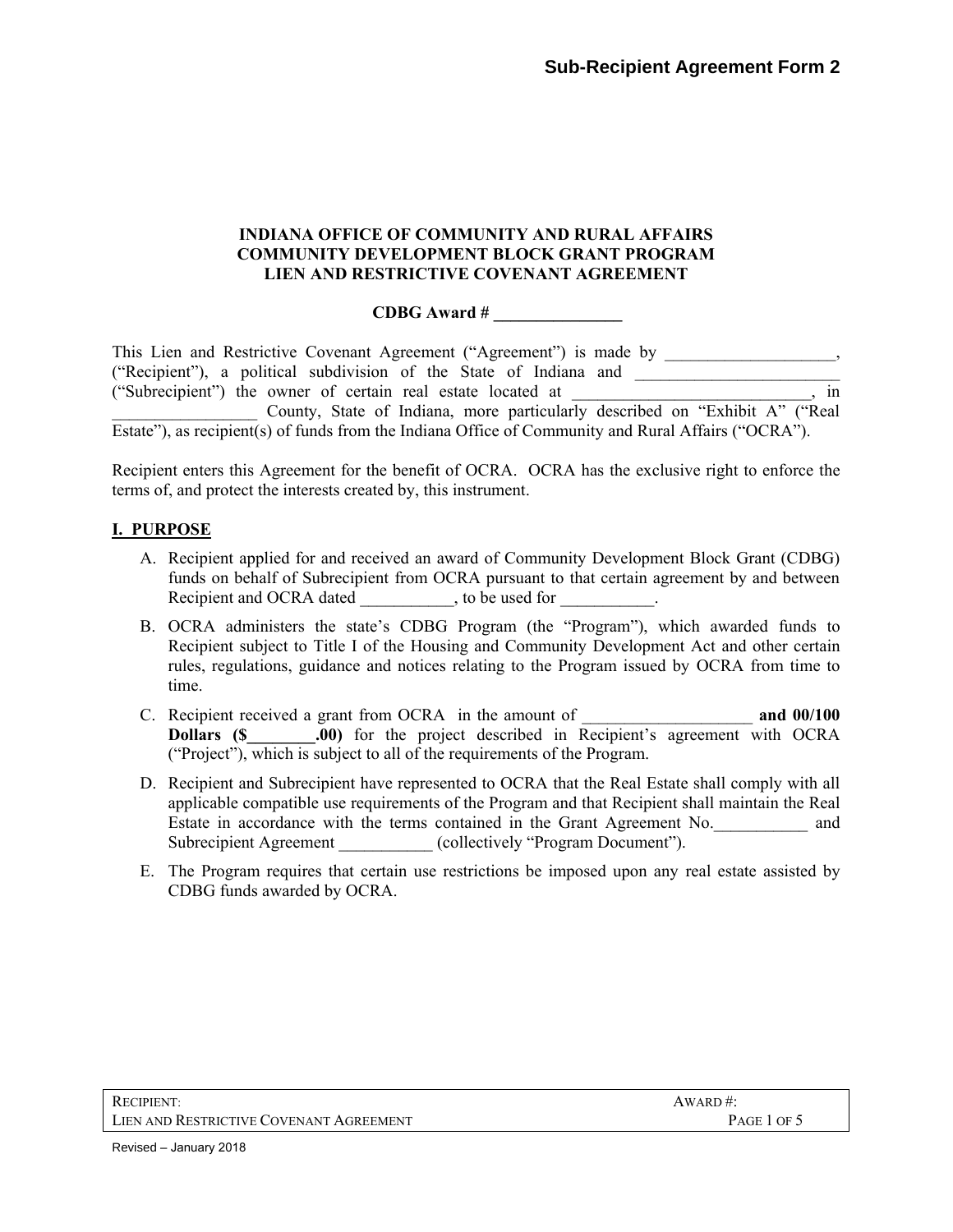### **INDIANA OFFICE OF COMMUNITY AND RURAL AFFAIRS COMMUNITY DEVELOPMENT BLOCK GRANT PROGRAM LIEN AND RESTRICTIVE COVENANT AGREEMENT**

## **CDBG Award # \_\_\_\_\_\_\_\_\_\_\_\_\_\_\_**

| This Lien and Restrictive Covenant Agreement ("Agreement") is made by                               |   |
|-----------------------------------------------------------------------------------------------------|---|
| ("Recipient"), a political subdivision of the State of Indiana and                                  |   |
| ("Subrecipient") the owner of certain real estate located at                                        | m |
| County, State of Indiana, more particularly described on "Exhibit A" ("Real                         |   |
| Estate"), as recipient(s) of funds from the Indiana Office of Community and Rural Affairs ("OCRA"). |   |

Recipient enters this Agreement for the benefit of OCRA. OCRA has the exclusive right to enforce the terms of, and protect the interests created by, this instrument.

# **I. PURPOSE**

- A. Recipient applied for and received an award of Community Development Block Grant (CDBG) funds on behalf of Subrecipient from OCRA pursuant to that certain agreement by and between Recipient and OCRA dated entity to be used for
- B. OCRA administers the state's CDBG Program (the "Program"), which awarded funds to Recipient subject to Title I of the Housing and Community Development Act and other certain rules, regulations, guidance and notices relating to the Program issued by OCRA from time to time.
- C. Recipient received a grant from OCRA in the amount of \_\_\_\_\_\_\_\_\_\_\_\_\_\_\_\_\_\_\_\_ **and 00/100 Dollars (\$** .00) for the project described in Recipient's agreement with OCRA ("Project"), which is subject to all of the requirements of the Program.
- D. Recipient and Subrecipient have represented to OCRA that the Real Estate shall comply with all applicable compatible use requirements of the Program and that Recipient shall maintain the Real Estate in accordance with the terms contained in the Grant Agreement No. and Subrecipient Agreement (collectively "Program Document").
- E. The Program requires that certain use restrictions be imposed upon any real estate assisted by CDBG funds awarded by OCRA.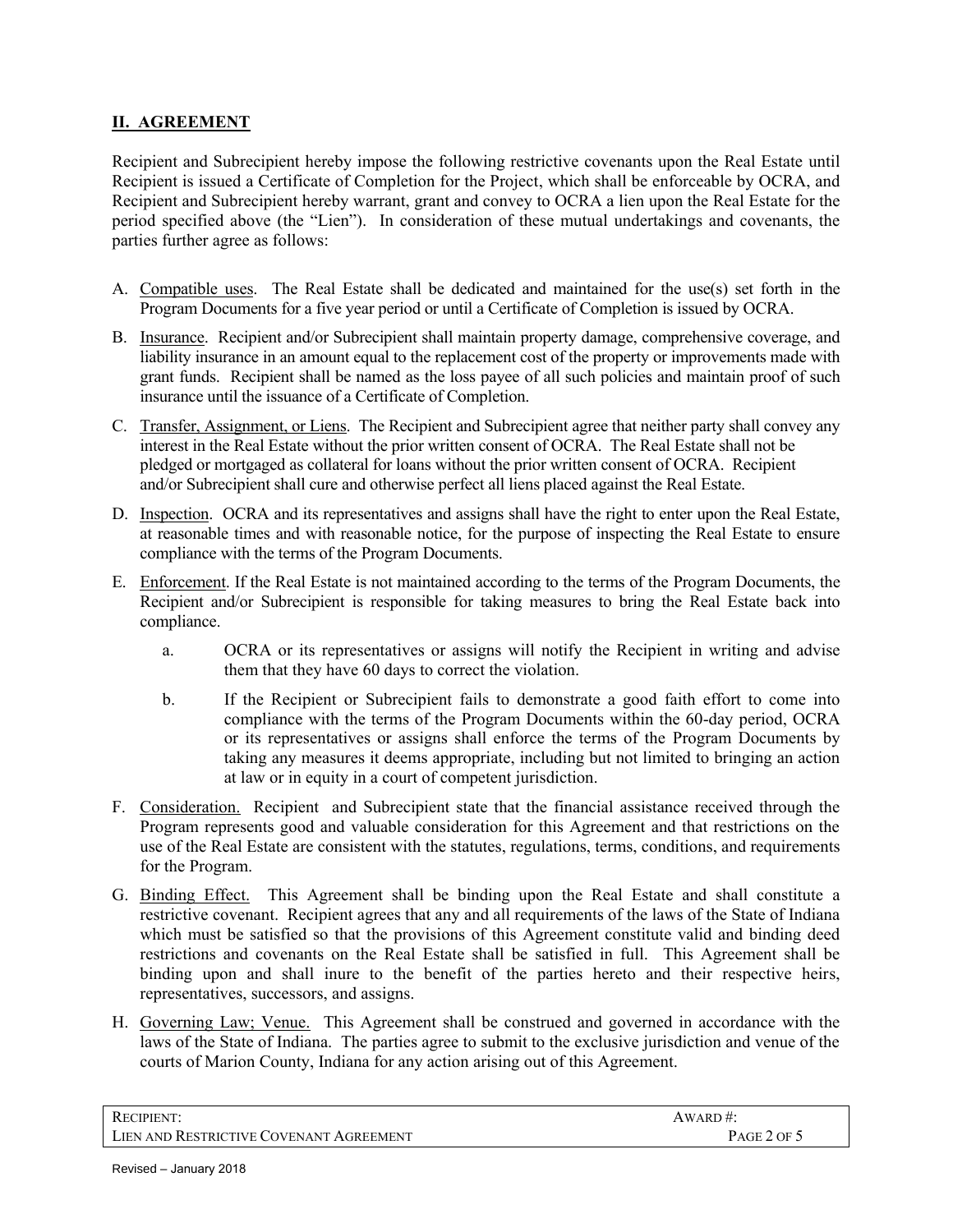# **II. AGREEMENT**

Recipient and Subrecipient hereby impose the following restrictive covenants upon the Real Estate until Recipient is issued a Certificate of Completion for the Project, which shall be enforceable by OCRA, and Recipient and Subrecipient hereby warrant, grant and convey to OCRA a lien upon the Real Estate for the period specified above (the "Lien"). In consideration of these mutual undertakings and covenants, the parties further agree as follows:

- A. Compatible uses. The Real Estate shall be dedicated and maintained for the use(s) set forth in the Program Documents for a five year period or until a Certificate of Completion is issued by OCRA.
- B. Insurance. Recipient and/or Subrecipient shall maintain property damage, comprehensive coverage, and liability insurance in an amount equal to the replacement cost of the property or improvements made with grant funds. Recipient shall be named as the loss payee of all such policies and maintain proof of such insurance until the issuance of a Certificate of Completion.
- C. Transfer, Assignment, or Liens. The Recipient and Subrecipient agree that neither party shall convey any interest in the Real Estate without the prior written consent of OCRA. The Real Estate shall not be pledged or mortgaged as collateral for loans without the prior written consent of OCRA. Recipient and/or Subrecipient shall cure and otherwise perfect all liens placed against the Real Estate.
- D. Inspection. OCRA and its representatives and assigns shall have the right to enter upon the Real Estate, at reasonable times and with reasonable notice, for the purpose of inspecting the Real Estate to ensure compliance with the terms of the Program Documents.
- E. Enforcement. If the Real Estate is not maintained according to the terms of the Program Documents, the Recipient and/or Subrecipient is responsible for taking measures to bring the Real Estate back into compliance.
	- a. OCRA or its representatives or assigns will notify the Recipient in writing and advise them that they have 60 days to correct the violation.
	- b. If the Recipient or Subrecipient fails to demonstrate a good faith effort to come into compliance with the terms of the Program Documents within the 60-day period, OCRA or its representatives or assigns shall enforce the terms of the Program Documents by taking any measures it deems appropriate, including but not limited to bringing an action at law or in equity in a court of competent jurisdiction.
- F. Consideration. Recipient and Subrecipient state that the financial assistance received through the Program represents good and valuable consideration for this Agreement and that restrictions on the use of the Real Estate are consistent with the statutes, regulations, terms, conditions, and requirements for the Program.
- G. Binding Effect. This Agreement shall be binding upon the Real Estate and shall constitute a restrictive covenant. Recipient agrees that any and all requirements of the laws of the State of Indiana which must be satisfied so that the provisions of this Agreement constitute valid and binding deed restrictions and covenants on the Real Estate shall be satisfied in full. This Agreement shall be binding upon and shall inure to the benefit of the parties hereto and their respective heirs, representatives, successors, and assigns.
- H. Governing Law; Venue. This Agreement shall be construed and governed in accordance with the laws of the State of Indiana. The parties agree to submit to the exclusive jurisdiction and venue of the courts of Marion County, Indiana for any action arising out of this Agreement.

| <b>RECIPIENT:</b>                       | AWARD#:     |
|-----------------------------------------|-------------|
| LIEN AND RESTRICTIVE COVENANT AGREEMENT | PAGE 2 OF 5 |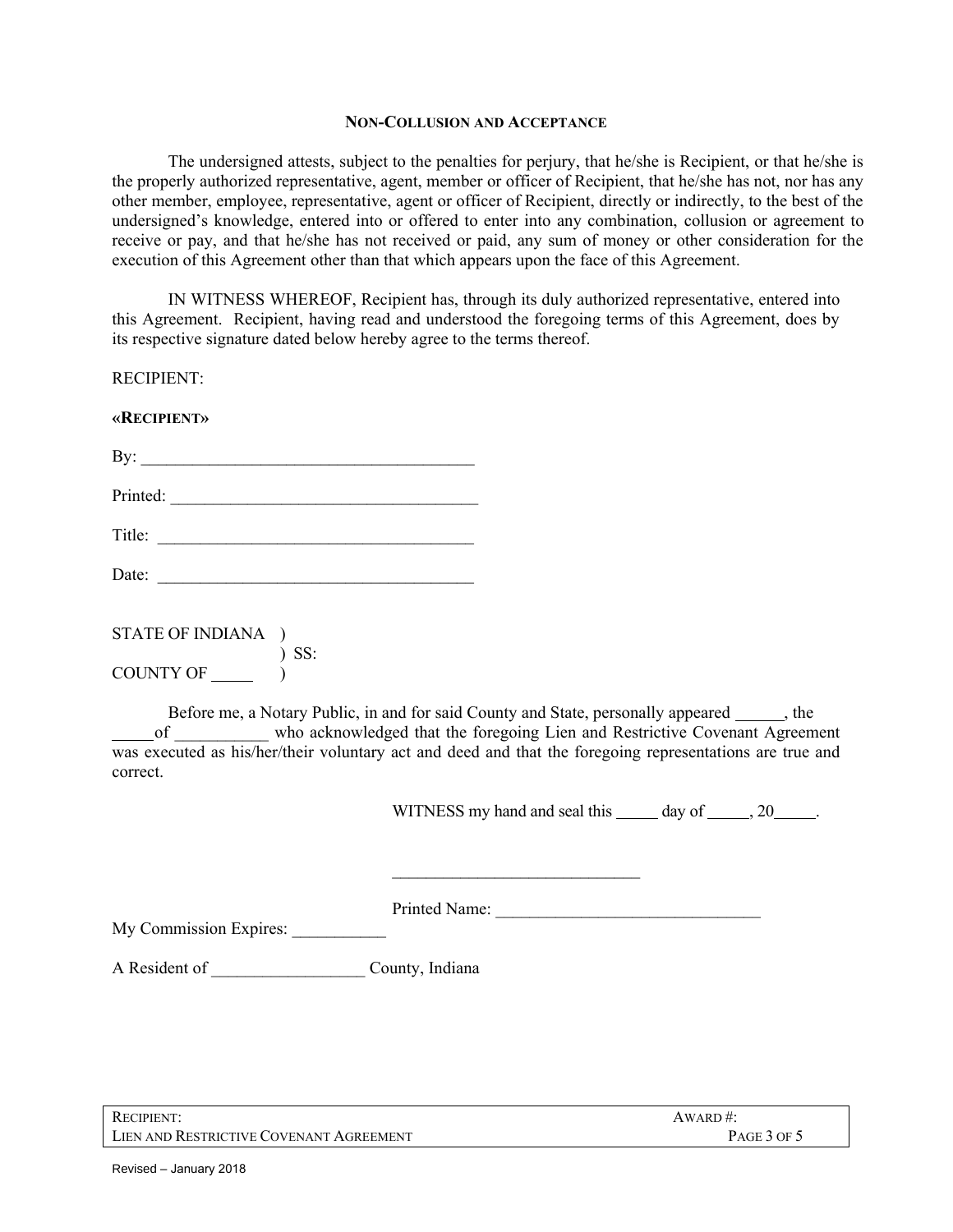#### **NON-COLLUSION AND ACCEPTANCE**

The undersigned attests, subject to the penalties for perjury, that he/she is Recipient, or that he/she is the properly authorized representative, agent, member or officer of Recipient, that he/she has not, nor has any other member, employee, representative, agent or officer of Recipient, directly or indirectly, to the best of the undersigned's knowledge, entered into or offered to enter into any combination, collusion or agreement to receive or pay, and that he/she has not received or paid, any sum of money or other consideration for the execution of this Agreement other than that which appears upon the face of this Agreement.

IN WITNESS WHEREOF, Recipient has, through its duly authorized representative, entered into this Agreement. Recipient, having read and understood the foregoing terms of this Agreement, does by its respective signature dated below hereby agree to the terms thereof.

RECIPIENT:

### **«RECIPIENT»**

| D |  |  |  |
|---|--|--|--|
|   |  |  |  |

| Printed: |  |  |  |  |
|----------|--|--|--|--|

Title: \_\_\_\_\_\_\_\_\_\_\_\_\_\_\_\_\_\_\_\_\_\_\_\_\_\_\_\_\_\_\_\_\_\_\_\_\_

| Date: |  |
|-------|--|
|       |  |

| STATE OF INDIANA ) |         |
|--------------------|---------|
|                    | $)$ SS: |
| <b>COUNTY OF</b>   |         |

Before me, a Notary Public, in and for said County and State, personally appeared , the of \_\_\_\_\_\_\_\_\_\_\_ who acknowledged that the foregoing Lien and Restrictive Covenant Agreement was executed as his/her/their voluntary act and deed and that the foregoing representations are true and correct.

WITNESS my hand and seal this  $\qquad \qquad$  day of  $\qquad \qquad$ , 20  $\qquad \qquad$ .

| Printed Name: |  |
|---------------|--|
|               |  |

 $\mathcal{L}_\text{max}$  , where  $\mathcal{L}_\text{max}$  and  $\mathcal{L}_\text{max}$ 

My Commission Expires:

A Resident of County, Indiana

| RECIPIENT:                              | $AWARD \#$  |
|-----------------------------------------|-------------|
| LIEN AND RESTRICTIVE COVENANT AGREEMENT | PAGE 3 OF 5 |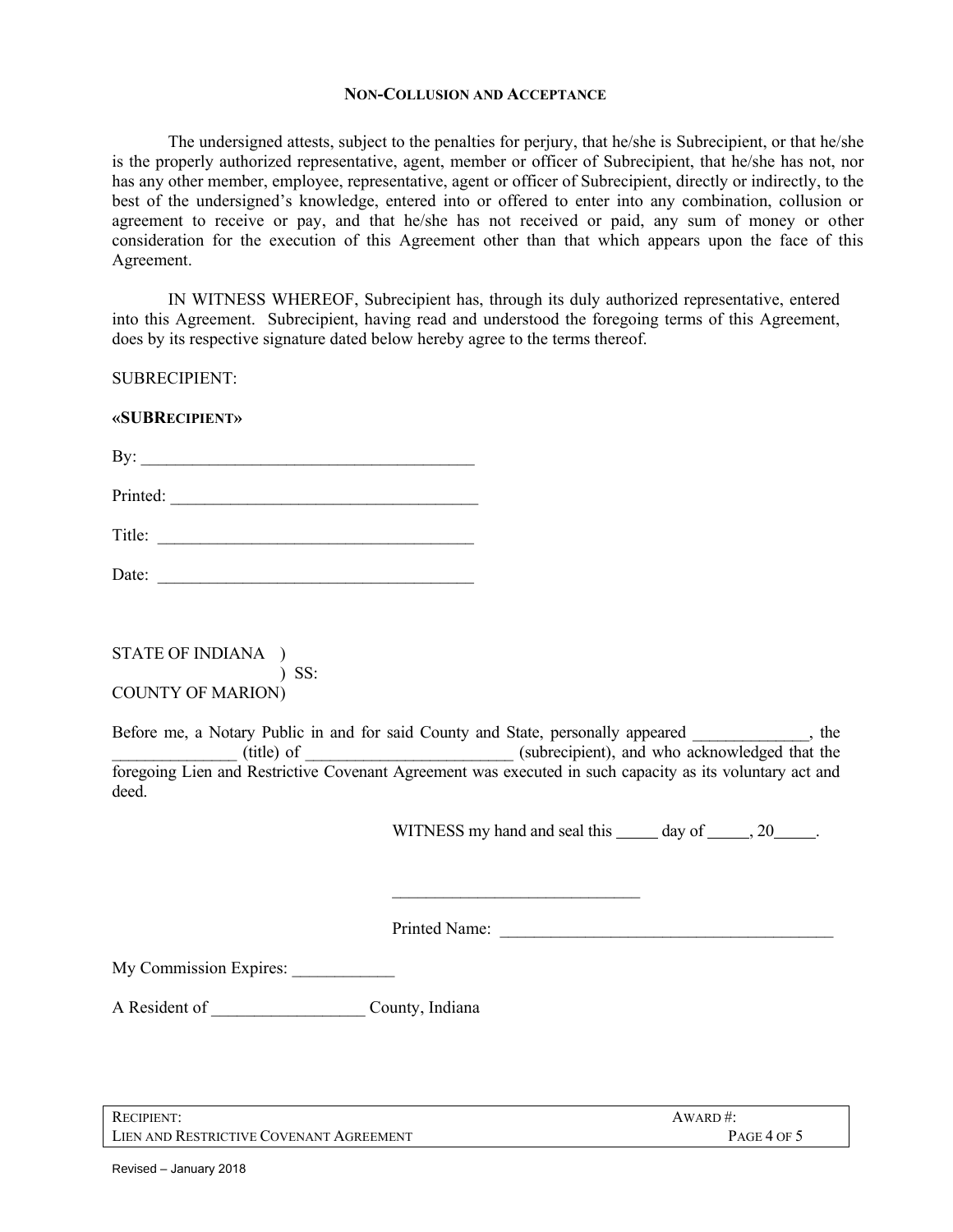#### **NON-COLLUSION AND ACCEPTANCE**

The undersigned attests, subject to the penalties for perjury, that he/she is Subrecipient, or that he/she is the properly authorized representative, agent, member or officer of Subrecipient, that he/she has not, nor has any other member, employee, representative, agent or officer of Subrecipient, directly or indirectly, to the best of the undersigned's knowledge, entered into or offered to enter into any combination, collusion or agreement to receive or pay, and that he/she has not received or paid, any sum of money or other consideration for the execution of this Agreement other than that which appears upon the face of this Agreement.

IN WITNESS WHEREOF, Subrecipient has, through its duly authorized representative, entered into this Agreement. Subrecipient, having read and understood the foregoing terms of this Agreement, does by its respective signature dated below hereby agree to the terms thereof.

SUBRECIPIENT:

### **«SUBRECIPIENT»**

 $\mathbf{By:}$ 

| Printed: |
|----------|
|          |

Title:

Date: \_\_\_\_\_\_\_\_\_\_\_\_\_\_\_\_\_\_\_\_\_\_\_\_\_\_\_\_\_\_\_\_\_\_\_\_\_

STATE OF INDIANA ) ) SS: COUNTY OF MARION)

Before me, a Notary Public in and for said County and State, personally appeared entity at the \_\_\_\_\_\_\_\_\_\_\_\_\_\_\_ (title) of \_\_\_\_\_\_\_\_\_\_\_\_\_\_\_\_\_\_\_\_\_\_\_\_\_ (subrecipient), and who acknowledged that the foregoing Lien and Restrictive Covenant Agreement was executed in such capacity as its voluntary act and deed.

 $\mathcal{L}_\text{max}$  , where  $\mathcal{L}_\text{max}$  and  $\mathcal{L}_\text{max}$ 

WITNESS my hand and seal this day of , 20 .

Printed Name:

My Commission Expires:

A Resident of \_\_\_\_\_\_\_\_\_\_\_\_\_\_\_\_\_\_ County, Indiana

RECIPIENT: AWARD #: LIEN AND RESTRICTIVE COVENANT AGREEMENT PAGE 4 OF 5